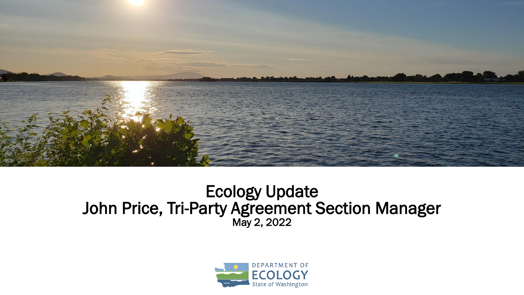

#### Ecology Update John Price, Tri-Party Agreement Section Manager May 2, 2022

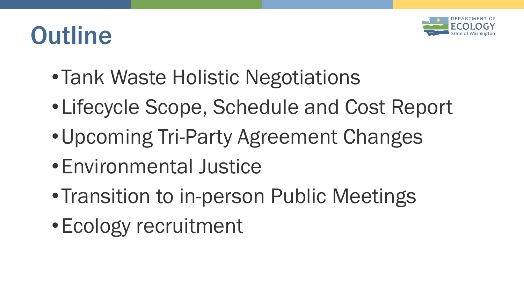

# **Outline**

- •Tank Waste Holistic Negotiations
- •Lifecycle Scope, Schedule and Cost Report
- •Upcoming Tri-Party Agreement Changes
- •Environmental Justice
- Transition to in-person Public Meetings
- •Ecology recruitment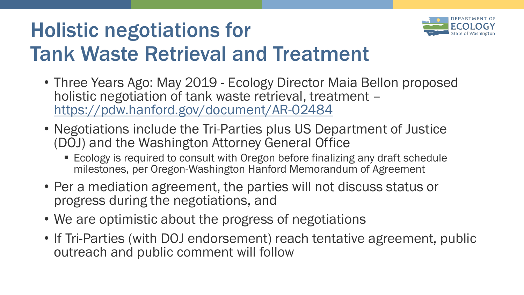## Holistic negotiations for Tank Waste Retrieval and Treatment



- Negotiations include the Tri-Parties plus US Department of Justice (DOJ) and the Washington Attorney General Office
	- Ecology is required to consult with Oregon before finalizing any draft schedule milestones, per Oregon-Washington Hanford Memorandum of Agreement
- Per a mediation agreement, the parties will not discuss status or progress during the negotiations, and
- We are optimistic about the progress of negotiations
- If Tri-Parties (with DOJ endorsement) reach tentative agreement, public outreach and public comment will follow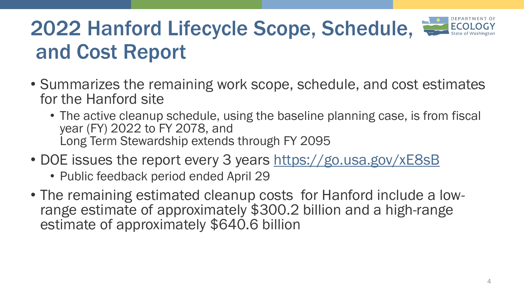## 2022 Hanford Lifecycle Scope, Schedule, and Cost Report

- Summarizes the remaining work scope, schedule, and cost estimates for the Hanford site
	- The active cleanup schedule, using the baseline planning case, is from fiscal year (FY) 2022 to FY 2078, and Long Term Stewardship extends through FY 2095
- DOE issues the report every 3 years<https://go.usa.gov/xE8sB>
	- Public feedback period ended April 29
- The remaining estimated cleanup costs for Hanford include a lowrange estimate of approximately \$300.2 billion and a high-range estimate of approximately \$640.6 billion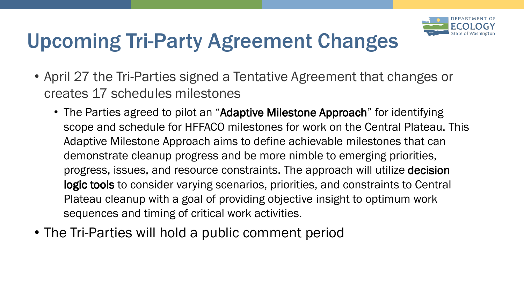

### Upcoming Tri-Party Agreement Changes

- April 27 the Tri-Parties signed a Tentative Agreement that changes or creates 17 schedules milestones
	- The Parties agreed to pilot an "Adaptive Milestone Approach" for identifying scope and schedule for HFFACO milestones for work on the Central Plateau. This Adaptive Milestone Approach aims to define achievable milestones that can demonstrate cleanup progress and be more nimble to emerging priorities, progress, issues, and resource constraints. The approach will utilize decision logic tools to consider varying scenarios, priorities, and constraints to Central Plateau cleanup with a goal of providing objective insight to optimum work sequences and timing of critical work activities.
- The Tri-Parties will hold a public comment period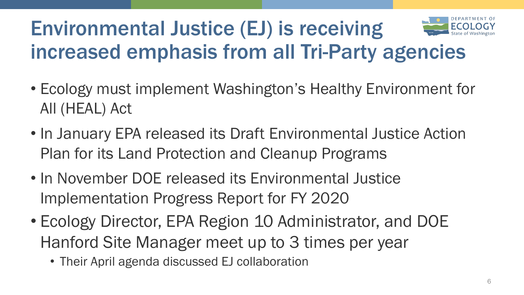

### Environmental Justice (EJ) is receiving increased emphasis from all Tri-Party agencies

- Ecology must implement Washington's Healthy Environment for All (HEAL) Act
- In January EPA released its Draft Environmental Justice Action Plan for its Land Protection and Cleanup Programs
- In November DOE released its Environmental Justice Implementation Progress Report for FY 2020
- Ecology Director, EPA Region 10 Administrator, and DOE Hanford Site Manager meet up to 3 times per year
	- Their April agenda discussed EJ collaboration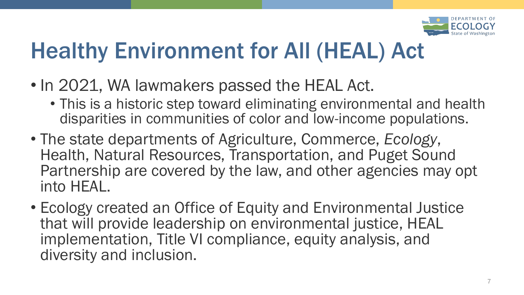

## Healthy Environment for All (HEAL) Act

- In 2021, WA lawmakers passed the HEAL Act.
	- This is a historic step toward eliminating environmental and health disparities in communities of color and low-income populations.
- The state departments of Agriculture, Commerce, *Ecology*, Health, Natural Resources, Transportation, and Puget Sound Partnership are covered by the law, and other agencies may opt into HEAL.
- Ecology created an Office of Equity and Environmental Justice that will provide leadership on environmental justice, HEAL implementation, Title VI compliance, equity analysis, and diversity and inclusion.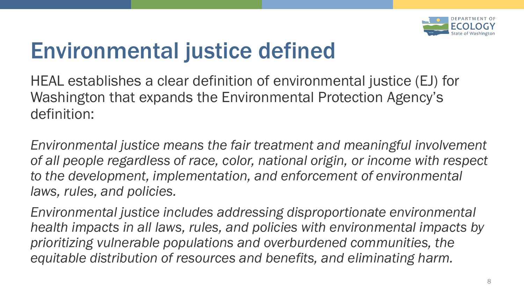

## Environmental justice defined

HEAL establishes a clear definition of environmental justice (EJ) for Washington that expands the Environmental Protection Agency's definition:

*Environmental justice means the fair treatment and meaningful involvement of all people regardless of race, color, national origin, or income with respect to the development, implementation, and enforcement of environmental laws, rules, and policies.* 

*Environmental justice includes addressing disproportionate environmental health impacts in all laws, rules, and policies with environmental impacts by prioritizing vulnerable populations and overburdened communities, the equitable distribution of resources and benefits, and eliminating harm.*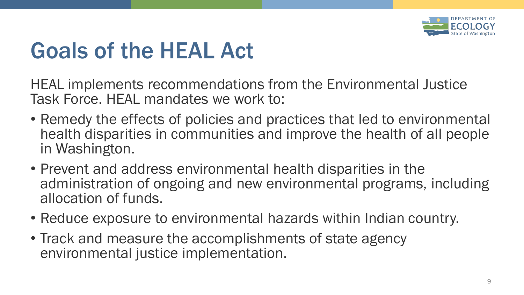

## Goals of the HEAL Act

HEAL implements recommendations from the Environmental Justice Task Force. HEAL mandates we work to:

- Remedy the effects of policies and practices that led to environmental health disparities in communities and improve the health of all people in Washington.
- Prevent and address environmental health disparities in the administration of ongoing and new environmental programs, including allocation of funds.
- Reduce exposure to environmental hazards within Indian country.
- Track and measure the accomplishments of state agency environmental justice implementation.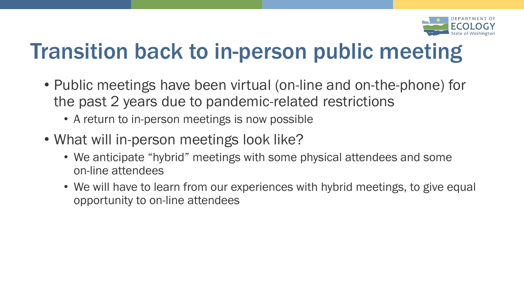

## Transition back to in-person public meeting

- Public meetings have been virtual (on-line and on-the-phone) for the past 2 years due to pandemic-related restrictions
	- A return to in-person meetings is now possible
- What will in-person meetings look like?
	- We anticipate "hybrid" meetings with some physical attendees and some on-line attendees
	- We will have to learn from our experiences with hybrid meetings, to give equal opportunity to on-line attendees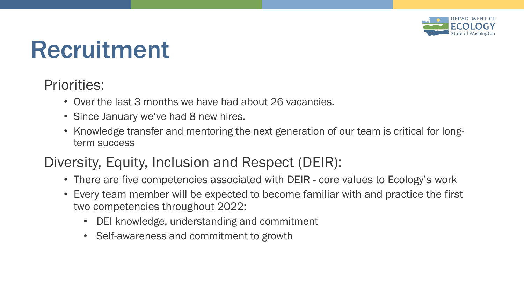

## Recruitment

#### Priorities:

- Over the last 3 months we have had about 26 vacancies.
- Since January we've had 8 new hires.
- Knowledge transfer and mentoring the next generation of our team is critical for longterm success

#### Diversity, Equity, Inclusion and Respect (DEIR):

- There are five competencies associated with DEIR core values to Ecology's work
- Every team member will be expected to become familiar with and practice the first two competencies throughout 2022:
	- DEI knowledge, understanding and commitment
	- Self-awareness and commitment to growth